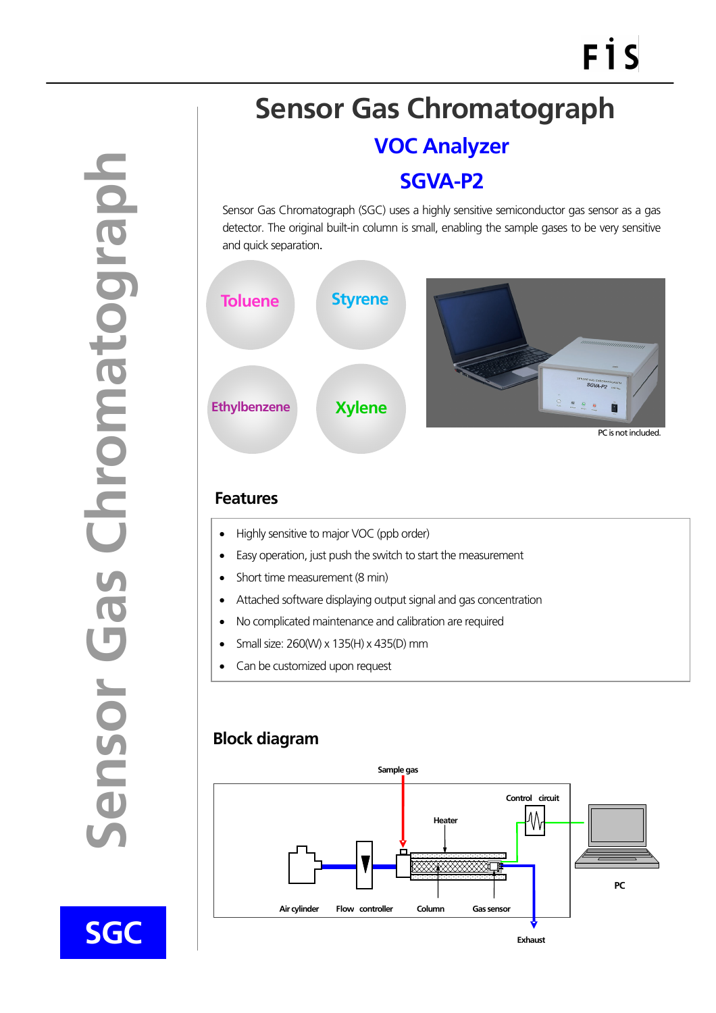**SGC** 

1

## **Sensor Gas Chromatograph**

**VOC Analyzer** 

**SGVA-P2** 

Sensor Gas Chromatograph (SGC) uses a highly sensitive semiconductor gas sensor as a gas detector. The original built-in column is small, enabling the sample gases to be very sensitive and quick separation.



## **Features**

- Highly sensitive to major VOC (ppb order)
- Easy operation, just push the switch to start the measurement
- Short time measurement (8 min)
- Attached software displaying output signal and gas concentration
- No complicated maintenance and calibration are required
- Small size: 260(W) x 135(H) x 435(D) mm
- Can be customized upon request

## **Block diagram**